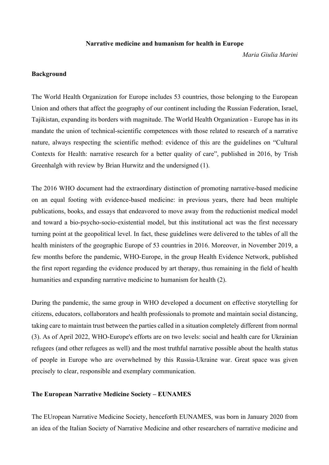#### **Narrative medicine and humanism for health in Europe**

*Maria Giulia Marini*

#### **Background**

The World Health Organization for Europe includes 53 countries, those belonging to the European Union and others that affect the geography of our continent including the Russian Federation, Israel, Tajikistan, expanding its borders with magnitude. The World Health Organization - Europe has in its mandate the union of technical-scientific competences with those related to research of a narrative nature, always respecting the scientific method: evidence of this are the guidelines on "Cultural Contexts for Health: narrative research for a better quality of care", published in 2016, by Trish Greenhalgh with review by Brian Hurwitz and the undersigned (1).

The 2016 WHO document had the extraordinary distinction of promoting narrative-based medicine on an equal footing with evidence-based medicine: in previous years, there had been multiple publications, books, and essays that endeavored to move away from the reductionist medical model and toward a bio-psycho-socio-existential model, but this institutional act was the first necessary turning point at the geopolitical level. In fact, these guidelines were delivered to the tables of all the health ministers of the geographic Europe of 53 countries in 2016. Moreover, in November 2019, a few months before the pandemic, WHO-Europe, in the group Health Evidence Network, published the first report regarding the evidence produced by art therapy, thus remaining in the field of health humanities and expanding narrative medicine to humanism for health (2).

During the pandemic, the same group in WHO developed a document on effective storytelling for citizens, educators, collaborators and health professionals to promote and maintain social distancing, taking care to maintain trust between the parties called in a situation completely different from normal (3). As of April 2022, WHO-Europe's efforts are on two levels: social and health care for Ukrainian refugees (and other refugees as well) and the most truthful narrative possible about the health status of people in Europe who are overwhelmed by this Russia-Ukraine war. Great space was given precisely to clear, responsible and exemplary communication.

## **The European Narrative Medicine Society – EUNAMES**

The EUropean Narrative Medicine Society, henceforth EUNAMES, was born in January 2020 from an idea of the Italian Society of Narrative Medicine and other researchers of narrative medicine and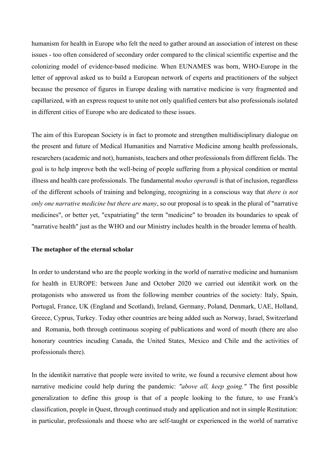humanism for health in Europe who felt the need to gather around an association of interest on these issues - too often considered of secondary order compared to the clinical scientific expertise and the colonizing model of evidence-based medicine. When EUNAMES was born, WHO-Europe in the letter of approval asked us to build a European network of experts and practitioners of the subject because the presence of figures in Europe dealing with narrative medicine is very fragmented and capillarized, with an express request to unite not only qualified centers but also professionals isolated in different cities of Europe who are dedicated to these issues.

The aim of this European Society is in fact to promote and strengthen multidisciplinary dialogue on the present and future of Medical Humanities and Narrative Medicine among health professionals, researchers (academic and not), humanists, teachers and other professionals from different fields. The goal is to help improve both the well-being of people suffering from a physical condition or mental illness and health care professionals. The fundamental *modus operandi* is that of inclusion, regardless of the different schools of training and belonging, recognizing in a conscious way that *there is not only one narrative medicine but there are many*, so our proposal is to speak in the plural of "narrative medicines", or better yet, "expatriating" the term "medicine" to broaden its boundaries to speak of "narrative health" just as the WHO and our Ministry includes health in the broader lemma of health.

## **The metaphor of the eternal scholar**

In order to understand who are the people working in the world of narrative medicine and humanism for health in EUROPE: between June and October 2020 we carried out identikit work on the protagonists who answered us from the following member countries of the society: Italy, Spain, Portugal, France, UK (England and Scotland), Ireland, Germany, Poland, Denmark, UAE, Holland, Greece, Cyprus, Turkey. Today other countries are being added such as Norway, Israel, Switzerland and Romania, both through continuous scoping of publications and word of mouth (there are also honorary countries incuding Canada, the United States, Mexico and Chile and the activities of professionals there).

In the identikit narrative that people were invited to write, we found a recursive element about how narrative medicine could help during the pandemic: *"above all, keep going."* The first possible generalization to define this group is that of a people looking to the future, to use Frank's classification, people in Quest, through continued study and application and not in simple Restitution: in particular, professionals and thoese who are self-taught or experienced in the world of narrative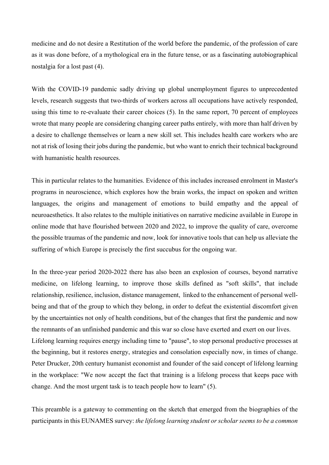medicine and do not desire a Restitution of the world before the pandemic, of the profession of care as it was done before, of a mythological era in the future tense, or as a fascinating autobiographical nostalgia for a lost past (4).

With the COVID-19 pandemic sadly driving up global unemployment figures to unprecedented levels, research suggests that two-thirds of workers across all occupations have actively responded, using this time to re-evaluate their career choices (5). In the same report, 70 percent of employees wrote that many people are considering changing career paths entirely, with more than half driven by a desire to challenge themselves or learn a new skill set. This includes health care workers who are not at risk of losing their jobs during the pandemic, but who want to enrich their technical background with humanistic health resources.

This in particular relates to the humanities. Evidence of this includes increased enrolment in Master's programs in neuroscience, which explores how the brain works, the impact on spoken and written languages, the origins and management of emotions to build empathy and the appeal of neuroaesthetics. It also relates to the multiple initiatives on narrative medicine available in Europe in online mode that have flourished between 2020 and 2022, to improve the quality of care, overcome the possible traumas of the pandemic and now, look for innovative tools that can help us alleviate the suffering of which Europe is precisely the first succubus for the ongoing war.

In the three-year period 2020-2022 there has also been an explosion of courses, beyond narrative medicine, on lifelong learning, to improve those skills defined as "soft skills", that include relationship, resilience, inclusion, distance management, linked to the enhancement of personal wellbeing and that of the group to which they belong, in order to defeat the existential discomfort given by the uncertainties not only of health conditions, but of the changes that first the pandemic and now the remnants of an unfinished pandemic and this war so close have exerted and exert on our lives. Lifelong learning requires energy including time to "pause", to stop personal productive processes at the beginning, but it restores energy, strategies and consolation especially now, in times of change. Peter Drucker, 20th century humanist economist and founder of the said concept of lifelong learning in the workplace: "We now accept the fact that training is a lifelong process that keeps pace with change. And the most urgent task is to teach people how to learn" (5).

This preamble is a gateway to commenting on the sketch that emerged from the biographies of the participants in this EUNAMES survey: *the lifelong learning student or scholar seems to be a common*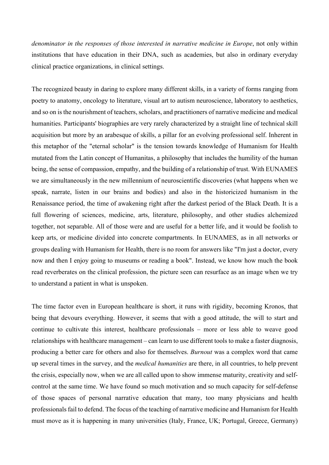*denominator in the responses of those interested in narrative medicine in Europe*, not only within institutions that have education in their DNA, such as academies, but also in ordinary everyday clinical practice organizations, in clinical settings.

The recognized beauty in daring to explore many different skills, in a variety of forms ranging from poetry to anatomy, oncology to literature, visual art to autism neuroscience, laboratory to aesthetics, and so on is the nourishment of teachers, scholars, and practitioners of narrative medicine and medical humanities. Participants' biographies are very rarely characterized by a straight line of technical skill acquisition but more by an arabesque of skills, a pillar for an evolving professional self. Inherent in this metaphor of the "eternal scholar" is the tension towards knowledge of Humanism for Health mutated from the Latin concept of Humanitas, a philosophy that includes the humility of the human being, the sense of compassion, empathy, and the building of a relationship of trust. With EUNAMES we are simultaneously in the new millennium of neuroscientific discoveries (what happens when we speak, narrate, listen in our brains and bodies) and also in the historicized humanism in the Renaissance period, the time of awakening right after the darkest period of the Black Death. It is a full flowering of sciences, medicine, arts, literature, philosophy, and other studies alchemized together, not separable. All of those were and are useful for a better life, and it would be foolish to keep arts, or medicine divided into concrete compartments. In EUNAMES, as in all networks or groups dealing with Humanism for Health, there is no room for answers like "I'm just a doctor, every now and then I enjoy going to museums or reading a book". Instead, we know how much the book read reverberates on the clinical profession, the picture seen can resurface as an image when we try to understand a patient in what is unspoken.

The time factor even in European healthcare is short, it runs with rigidity, becoming Kronos, that being that devours everything. However, it seems that with a good attitude, the will to start and continue to cultivate this interest, healthcare professionals – more or less able to weave good relationships with healthcare management – can learn to use different tools to make a faster diagnosis, producing a better care for others and also for themselves. *Burnout* was a complex word that came up several times in the survey, and the *medical humanities* are there, in all countries, to help prevent the crisis, especially now, when we are all called upon to show immense maturity, creativity and selfcontrol at the same time. We have found so much motivation and so much capacity for self-defense of those spaces of personal narrative education that many, too many physicians and health professionals fail to defend. The focus of the teaching of narrative medicine and Humanism for Health must move as it is happening in many universities (Italy, France, UK; Portugal, Greece, Germany)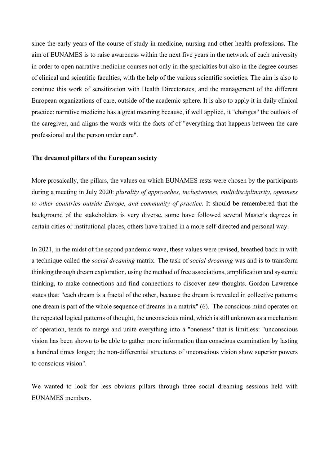since the early years of the course of study in medicine, nursing and other health professions. The aim of EUNAMES is to raise awareness within the next five years in the network of each university in order to open narrative medicine courses not only in the specialties but also in the degree courses of clinical and scientific faculties, with the help of the various scientific societies. The aim is also to continue this work of sensitization with Health Directorates, and the management of the different European organizations of care, outside of the academic sphere. It is also to apply it in daily clinical practice: narrative medicine has a great meaning because, if well applied, it "changes" the outlook of the caregiver, and aligns the words with the facts of of "everything that happens between the care professional and the person under care".

### **The dreamed pillars of the European society**

More prosaically, the pillars, the values on which EUNAMES rests were chosen by the participants during a meeting in July 2020: *plurality of approaches, inclusiveness, multidisciplinarity, openness to other countries outside Europe, and community of practice*. It should be remembered that the background of the stakeholders is very diverse, some have followed several Master's degrees in certain cities or institutional places, others have trained in a more self-directed and personal way.

In 2021, in the midst of the second pandemic wave, these values were revised, breathed back in with a technique called the *social dreaming* matrix. The task of *social dreaming* was and is to transform thinking through dream exploration, using the method of free associations, amplification and systemic thinking, to make connections and find connections to discover new thoughts. Gordon Lawrence states that: "each dream is a fractal of the other, because the dream is revealed in collective patterns; one dream is part of the whole sequence of dreams in a matrix" (6). The conscious mind operates on the repeated logical patterns of thought, the unconscious mind, which is still unknown as a mechanism of operation, tends to merge and unite everything into a "oneness" that is limitless: "unconscious vision has been shown to be able to gather more information than conscious examination by lasting a hundred times longer; the non-differential structures of unconscious vision show superior powers to conscious vision".

We wanted to look for less obvious pillars through three social dreaming sessions held with EUNAMES members.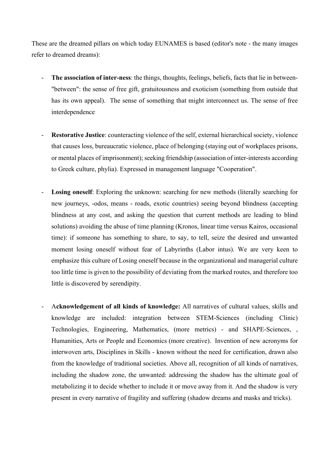These are the dreamed pillars on which today EUNAMES is based (editor's note - the many images refer to dreamed dreams):

- **The association of inter-ness**: the things, thoughts, feelings, beliefs, facts that lie in between- "between": the sense of free gift, gratuitousness and exoticism (something from outside that has its own appeal). The sense of something that might interconnect us. The sense of free interdependence
- Restorative Justice: counteracting violence of the self, external hierarchical society, violence that causes loss, bureaucratic violence, place of belonging (staying out of workplaces prisons, or mental places of imprisonment); seeking friendship (association of inter-interests according to Greek culture, phylia). Expressed in management language "Cooperation".
- Losing oneself: Exploring the unknown: searching for new methods (literally searching for new journeys, -odos, means - roads, exotic countries) seeing beyond blindness (accepting blindness at any cost, and asking the question that current methods are leading to blind solutions) avoiding the abuse of time planning (Kronos, linear time versus Kairos, occasional time): if someone has something to share, to say, to tell, seize the desired and unwanted moment losing oneself without fear of Labyrinths (Labor intus). We are very keen to emphasize this culture of Losing oneself because in the organizational and managerial culture too little time is given to the possibility of deviating from the marked routes, and therefore too little is discovered by serendipity.
- A**cknowledgement of all kinds of knowledge:** All narratives of cultural values, skills and knowledge are included: integration between STEM-Sciences (including Clinic) Technologies, Engineering, Mathematics, (more metrics) - and SHAPE-Sciences, , Humanities, Arts or People and Economics (more creative). Invention of new acronyms for interwoven arts, Disciplines in Skills - known without the need for certification, drawn also from the knowledge of traditional societies. Above all, recognition of all kinds of narratives, including the shadow zone, the unwanted: addressing the shadow has the ultimate goal of metabolizing it to decide whether to include it or move away from it. And the shadow is very present in every narrative of fragility and suffering (shadow dreams and masks and tricks).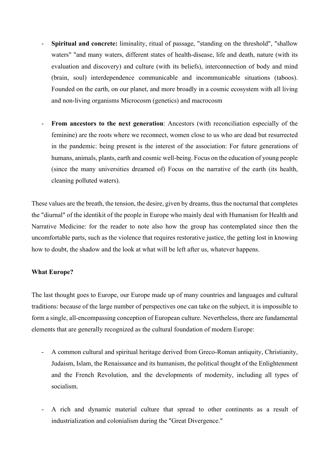- **Spiritual and concrete:** liminality, ritual of passage, "standing on the threshold", "shallow waters" "and many waters, different states of health-disease, life and death, nature (with its evaluation and discovery) and culture (with its beliefs), interconnection of body and mind (brain, soul) interdependence communicable and incommunicable situations (taboos). Founded on the earth, on our planet, and more broadly in a cosmic ecosystem with all living and non-living organisms Microcosm (genetics) and macrocosm
- From ancestors to the next generation: Ancestors (with reconciliation especially of the feminine) are the roots where we reconnect, women close to us who are dead but resurrected in the pandemic: being present is the interest of the association: For future generations of humans, animals, plants, earth and cosmic well-being. Focus on the education of young people (since the many universities dreamed of) Focus on the narrative of the earth (its health, cleaning polluted waters).

These values are the breath, the tension, the desire, given by dreams, thus the nocturnal that completes the "diurnal" of the identikit of the people in Europe who mainly deal with Humanism for Health and Narrative Medicine: for the reader to note also how the group has contemplated since then the uncomfortable parts, such as the violence that requires restorative justice, the getting lost in knowing how to doubt, the shadow and the look at what will be left after us, whatever happens.

## **What Europe?**

The last thought goes to Europe, our Europe made up of many countries and languages and cultural traditions: because of the large number of perspectives one can take on the subject, it is impossible to form a single, all-encompassing conception of European culture. Nevertheless, there are fundamental elements that are generally recognized as the cultural foundation of modern Europe:

- A common cultural and spiritual heritage derived from Greco-Roman antiquity, Christianity, Judaism, Islam, the Renaissance and its humanism, the political thought of the Enlightenment and the French Revolution, and the developments of modernity, including all types of socialism.
- A rich and dynamic material culture that spread to other continents as a result of industrialization and colonialism during the "Great Divergence."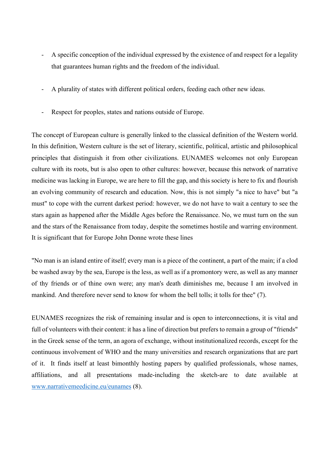- A specific conception of the individual expressed by the existence of and respect for a legality that guarantees human rights and the freedom of the individual.
- A plurality of states with different political orders, feeding each other new ideas.
- Respect for peoples, states and nations outside of Europe.

The concept of European culture is generally linked to the classical definition of the Western world. In this definition, Western culture is the set of literary, scientific, political, artistic and philosophical principles that distinguish it from other civilizations. EUNAMES welcomes not only European culture with its roots, but is also open to other cultures: however, because this network of narrative medicine was lacking in Europe, we are here to fill the gap, and this society is here to fix and flourish an evolving community of research and education. Now, this is not simply "a nice to have" but "a must" to cope with the current darkest period: however, we do not have to wait a century to see the stars again as happened after the Middle Ages before the Renaissance. No, we must turn on the sun and the stars of the Renaissance from today, despite the sometimes hostile and warring environment. It is significant that for Europe John Donne wrote these lines

"No man is an island entire of itself; every man is a piece of the continent, a part of the main; if a clod be washed away by the sea, Europe is the less, as well as if a promontory were, as well as any manner of thy friends or of thine own were; any man's death diminishes me, because I am involved in mankind. And therefore never send to know for whom the bell tolls; it tolls for thee" (7).

EUNAMES recognizes the risk of remaining insular and is open to interconnections, it is vital and full of volunteers with their content: it has a line of direction but prefers to remain a group of "friends" in the Greek sense of the term, an agora of exchange, without institutionalized records, except for the continuous involvement of WHO and the many universities and research organizations that are part of it. It finds itself at least bimonthly hosting papers by qualified professionals, whose names, affiliations, and all presentations made-including the sketch-are to date available at www.narrativemeedicine.eu/eunames (8).